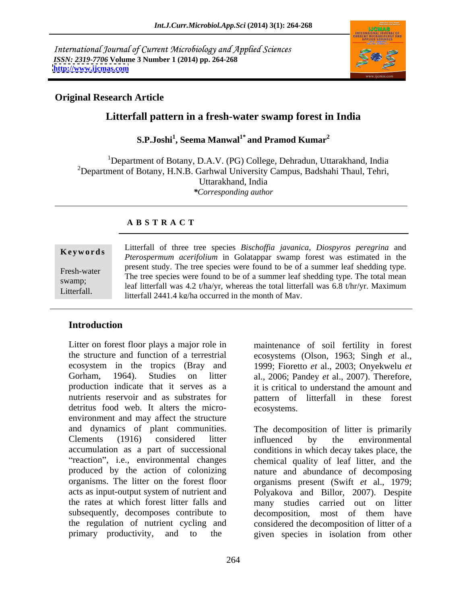International Journal of Current Microbiology and Applied Sciences *ISSN: 2319-7706* **Volume 3 Number 1 (2014) pp. 264-268 <http://www.ijcmas.com>**



#### **Original Research Article**

# **Litterfall pattern in a fresh-water swamp forest in India**

#### **S.P.Joshi<sup>1</sup> , Seema Manwal1\* and Pramod Kumar<sup>2</sup>**

<sup>1</sup>Department of Botany, D.A.V. (PG) College, Dehradun, Uttarakhand, India <sup>2</sup>Department of Botany, H.N.B. Garhwal University Campus, Badshahi Thaul, Tehri, Uttarakhand, India *\*Corresponding author*

#### **A B S T R A C T**

**Keywords** Entertain of three tree species *Bischofful favalitied*, *Diospyros peregrina* and *Pterospermum acerifolium* in Golatappar swamp forest was estimated in the Fresh-water Fresh-water and the tree species were found to be of a summer leaf shedding type.<br>The tree species were found to be of a summer leaf shedding type. The total mean swamp;<br>leaf litterfall was  $4.2 t/ha/yr$ , whereas the total litterfall was 6.8 t/hr/yr. Maximum Litterfall of three tree species *Bischoffia javanica*, *Diospyros peregrina* and<br> *Pterospermum acerifolium* in Golatappar swamp forest was estimated in the<br>
present study. The tree species were found to be of a summer le present study. The tree species were found to be of a summer leaf shedding type. litterfall 2441.4 kg/ha occurred in the month of May.

# **Introduction**

the structure and function of a terrestrial ecosystems (Olson, 1963; Singh *et* al., ecosystem in the tropics (Bray and 1999; Fioretto *et* al., 2003; Onyekwelu *et* Gorham, 1964). Studies on litter al., 2006; Pandey *et* al., 2007). Therefore, production indicate that it serves as a it is critical to understand the amount and nutrients reservoir and as substrates for pattern of litterfall in these forest detritus food web. It alters the micro-<br>ecosystems. environment and may affect the structure produced by the action of colonizing subsequently, decomposes contribute to decomposition, most of them have primary productivity, and to the given species in isolation from other

Litter on forest floor plays a major role in maintenance of soil fertility in forest ecosystems.

and dynamics of plant communities. The decomposition of litter is primarily Clements (1916) considered litter influenced by the environmental accumulation as a part of successional conditions in which decay takes place, the reaction", i.e., environmental changes chemical quality of leaf litter, and the organisms. The litter on the forest floor organisms present (Swift *et* al., 1979; acts as input-output system of nutrient and Polyakova and Billor, 2007). Despite the rates at which forest litter falls and many studies carried out on litter the regulation of nutrient cycling and considered the decomposition of litter of a influenced by the environmental nature and abundance of decomposing decomposition, most of them have given species in isolation from other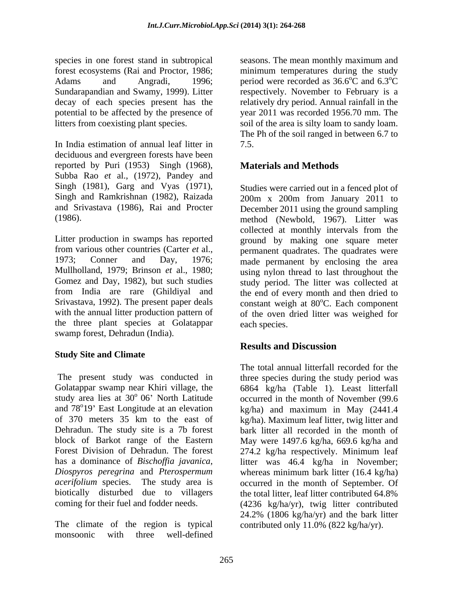species in one forest stand in subtropical seasons. The mean monthly maximum and forest ecosystems (Rai and Proctor, 1986; Adams and Angradi, 1996; period were recorded as 36.6<sup>o</sup>C and 6.3<sup>o</sup>C Sundarapandian and Swamy, 1999). Litter respectively. November to February is a decay of each species present has the potential to be affected by the presence of year 2011 was recorded 1956.70 mm. The litters from coexisting plant species. soil of the area is silty loam to sandy loam.

In India estimation of annual leaf litter in deciduous and evergreen forests have been reported by Puri (1953) Singh (1968), Subba Rao *et* al., (1972), Pandey and

Litter production in swamps has reported ground by making one square meter from various other countries (Carter *et* al., permanent quadrates. The quadrates were 1973; Conner and Day, 1976; made permanent by enclosing the area Mullholland, 1979; Brinson *et* al., 1980; using nylon thread to last throughout the Gomez and Day, 1982), but such studies study period. The litter was collected at from India are rare (Ghildiyal and the end of every month and then dried to Srivastava, 1992). The present paper deals constant weigh at 80°C. Each component with the annual litter production pattern of of the oven dried litter was weighed for the three plant species at Golatappar swamp forest, Dehradun (India).

## **Study Site and Climate**

Golatappar swamp near Khiri village, the 6864 kg/ha (Table 1). Least litterfall study area lies at  $30^{\circ}$  06' North Latitude occurred in the month of November (99.6) and 78<sup>o</sup>19' East Longitude at an elevation (kg/ha) and maximum in May (2441.4) and 78°19' East Longitude at an elevation of 370 meters 35 km to the east of kg/ha). Maximum leaf litter, twig litter and Dehradun. The study site is a 7b forest bark litter all recorded in the month of block of Barkot range of the Eastern May were 1497.6 kg/ha, 669.6 kg/ha and Forest Division of Dehradun. The forest 274.2 kg/ha respectively. Minimum leaf has a dominance of *Bischoffia javanica*, litter was 46.4 kg/ha in November; *Diospyros peregrina* and *Pterospermum acerifolium* species. The study area is occurred in the month of September. Of biotically disturbed due to villagers the total litter, leaf litter contributed 64.8%

The climate of the region is typical monsoonic with three well-defined

minimum temperatures during the study  $\rm ^{o}\overline{C}$  and 6.3 $\rm ^{o}\overline{C}$  $\overline{C}$ relatively dry period. Annual rainfall in the The Ph of the soil ranged in between 6.7 to 7.5.

# **Materials and Methods**

Singh (1981), Garg and Vyas (1971), Studies were carried out in a fenced plot of Singh and Ramkrishnan (1982), Raizada 200m x 200m from January 2011 to and Srivastava (1986), Rai and Procter December 2011 using the ground sampling (1986). method (Newbold, 1967). Litter was collected at monthly intervals from the <sup>o</sup>C. Each component each species.

## **Results and Discussion**

The present study was conducted in three species during the study period was coming for their fuel and fodder needs. (4236 kg/ha/yr), twig litter contributed The total annual litterfall recorded for the whereas minimum bark litter (16.4 kg/ha) 24.2% (1806 kg/ha/yr) and the bark litter contributed only 11.0% (822 kg/ha/yr).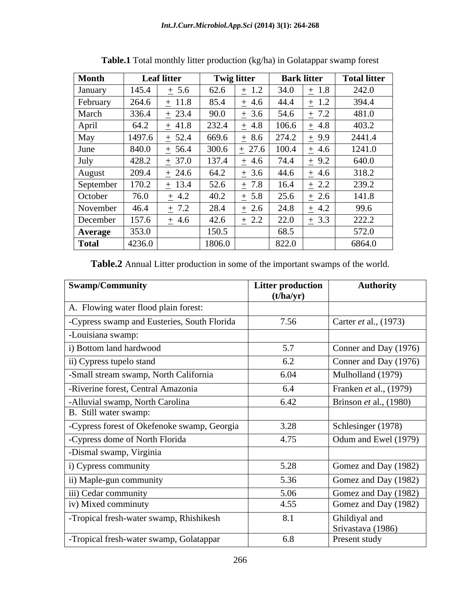| Month          |        | <b>Leaf litter</b> | <b>Twig litter</b> |           | <b>Bark litter</b> | <b>Total litter</b>  |
|----------------|--------|--------------------|--------------------|-----------|--------------------|----------------------|
| January        | 145.4  | $\pm$ 5.6          | 62.6               | $\pm$ 1.2 | 34.0               | 242.0<br>$\pm$ 1.8   |
| February       | 264.6  | $\pm$ 11.8         | 85.4               | $\pm$ 4.6 | 44.4               | 394.4<br>$\pm$ 1.2   |
| March          | 336.4  | $\pm$ 23.4         | 90.0               | $\pm$ 3.6 | 54.6               | $\pm 7.2$<br>481.0   |
| April          | 64.2   | $\pm$ 41.8         | 232.4              | $\pm$ 4.8 | 106.6              | 403.2<br>$\pm$ 4.8   |
| May            | 1497.6 | $\pm$ 52.4         | 669.6              | $\pm$ 8.6 | 274.2              | 2441.4<br>$+9.9$     |
| June           | 840.0  | $\pm$ 56.4         | 300.6              | 27.6      | 100.4              | 1241.0<br>$\pm$ 4.6  |
| July           | 428.2  | $\pm$ 37.0         | 137.4              | $\pm$ 4.6 | 74.4<br>$\sim$     | 640.0<br>$\pm$ 9.2   |
| August         | 209.4  | $-24.6$            | 64.2               | $\pm$ 3.6 | 44.6               | 318.2<br>$\pm$ 4.6   |
| September      | 170.2  | $\pm$ 13.4         | 52.6               | $\pm 7.8$ | 16.4               | 239.2<br>2.2         |
| October        | 76.0   | $\pm$ 4.2          | 40.2               | $\pm$ 5.8 | 25.6               | 141.8<br>$\cdot$ 2.6 |
| November       | 46.4   | $\pm$ 7.2          | 28.4               | $\pm$ 2.6 | 24.8               | 99.6<br>$\pm$ 4.2    |
| December       | 157.6  | $\pm$ 4.6          | 42.6               | $\pm$ 2.2 | 22.0               | 222.2<br>$\pm$ 3.3   |
| <b>Average</b> | 353.0  |                    | 150.5              |           | 68.5               | 572.0                |
| <b>Total</b>   | 4236.0 |                    | 1806.0             |           | 822.0              | 6864.0               |

**Table.1** Total monthly litter production (kg/ha) in Golatappar swamp forest

**Table.2** Annual Litter production in some of the important swamps of the world.

| <b>Swamp/Community</b>                      | <b>Litter production</b><br>(t/ha/yr) | <b>Authority</b>                   |
|---------------------------------------------|---------------------------------------|------------------------------------|
| Flowing water flood plain forest:           |                                       |                                    |
| -Cypress swamp and Eusteries, South Florida | 7.56                                  | Carter <i>et</i> al., (1973)       |
| -Louisiana swamp:                           |                                       |                                    |
| i) Bottom land hardwood                     | 5.7                                   | Conner and Day (1976)              |
| ii) Cypress tupelo stand                    | 6.2                                   | Conner and Day (1976)              |
| -Small stream swamp, North California       | 6.04                                  | Mulholland (1979)                  |
| -Riverine forest, Central Amazonia          | 6.4                                   | Franken et al., (1979)             |
| -Alluvial swamp, North Carolina             | 6.42                                  | Brinson et al., $(1980)$           |
| B. Still water swamp:                       |                                       |                                    |
| -Cypress forest of Okefenoke swamp, Georgia | 3.28                                  | Schlesinger (1978)                 |
| -Cypress dome of North Florida              | 4.75                                  | Odum and Ewel (1979)               |
| -Dismal swamp, Virginia                     |                                       |                                    |
| i) Cypress community                        | 5.28                                  | Gomez and Day (1982)               |
| ii) Maple-gun community                     | 5.36                                  | Gomez and Day (1982)               |
| iii) Cedar community                        | 5.06                                  | Gomez and Day (1982)               |
| iv) Mixed comminuty                         | 4.55                                  | Gomez and Day (1982)               |
| -Tropical fresh-water swamp, Rhishikesh     | 8.1                                   | Ghildiyal and<br>Srivastava (1986) |
| -Tropical fresh-water swamp, Golatappar     | 6.8                                   | Present study                      |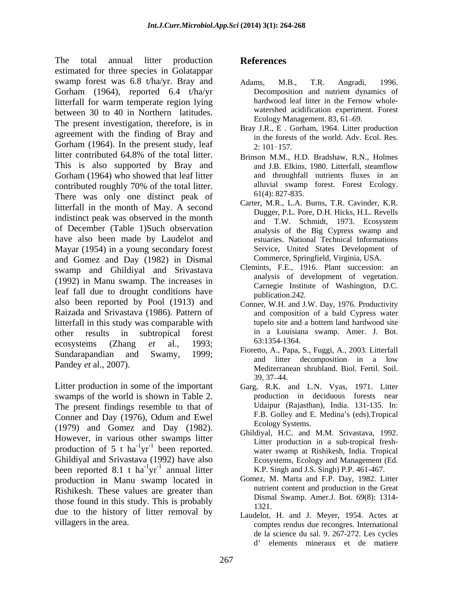The total annual litter production References estimated for three species in Golatappar swamp forest was 6.8 t/ha/yr. Bray and Adams, M.B., T.R. Angradi, 1996. Gorham (1964), reported 6.4 t/ha/yr<br>litterfall for warm temperate region lying<br>hardwood leaf litter in the Fernow wholelitterfall for warm temperate region lying between 30 to 40 in Northern latitudes. The present investigation, therefore, is in agreement with the finding of Bray and Gorham (1964). In the present study, leaf  $\frac{2!}{2!}$  101-157. litter contributed 64.8% of the total litter. This is also supported by Bray and Gorham (1964) who showed that leaf litter contributed roughly 70% of the total litter. There was only one distinct peak of litterfall in the month of May. A second indistinct peak was observed in the month of December (Table 1)Such observation have also been made by Laudelot and Mayar (1954) in a young secondary forest and Gomez and Day (1982) in Dismal swamp and Ghildiyal and Srivastava (1992) in Manu swamp. The increases in leaf fall due to drought conditions have also been reported by Pool (1913) and Raizada and Srivastava (1986). Pattern of litterfall in this study was comparable with other results in subtropical forest in a Louisiana swamp. Amer. J. Bot. ecosystems (Zhang *et* al., 1993; Sundarapandian and Swamy, 1999;<br>and litter decomposition in a low

Litter production in some of the important Garg, R.K. and L.N. Vyas, 1971. Litter swamps of the world is shown in Table 2. The present findings resemble to that of Conner and Day (1976), Odum and Ewel (1979) and Gomez and Day (1982). However, in various other swamps litter production of 5 t ha<sup>-1</sup>yr<sup>-1</sup> been reported. Ghildiyal and Srivastava (1992) have also been reported 8.1 t ha<sup>-1</sup>yr<sup>-1</sup> annual litter production in Manu swamp located in Rishikesh. These values are greater than those found in this study. This is probably  $\frac{\text{Disms}}{1321}$ due to the history of litter removal by

# **References**

- Adams, M.B., T.R. Angradi, 1996. Decomposition and nutrient dynamics of hardwood leaf litter in the Fernow whole watershed acidification experiment. Forest Ecology Management. 83, 61–69.
- Bray J.R., E . Gorham, 1964. Litter production in the forests of the world. Adv. Ecol. Res. 2: 101 157.
- Brinson M.M., H.D. Bradshaw, R.N., Holmes and J.B. Elkins, 1980. Litterfall, steamflow and throughfall nutrients fluxes in an alluvial swamp forest. Forest Ecology. 61(4): 827-835.
- Carter, M.R., L.A. Burns, T.R. Cavinder, K.R. Dugger, P.L. Pore, D.H. Hicks, H.L. Revells and T.W. Schmidt, 1973. Ecosystem analysis of the Big Cypress swamp and estuaries. National Technical Informations Service, United States Development of Commerce, Springfield, Virginia, USA.
- Clemints, F.E., 1916. Plant succession: an analysis of development of vegetation. Carnegie Institute of Washington, D.C. publication.242.
- Conner, W.H. and J.W. Day, 1976. Productivity and composition of a bald Cypress water tupelo site and a bottem land hardwood site 63:1354-1364.
- Pandey *et* al., 2007). **Example 2008** and the decomposition in a 15W mediterranean shrubland. Biol. Fertil. Soil. Fioretto, A., Papa, S., Fuggi, A., 2003. Litterfall and litter decomposition in a low 39, 37 44.
	- production in deciduous forests near Udaipur (Rajasthan), India. 131-135. In: F.B. Golley and E. Medina's (eds). Tropical Ecology Systems.
	- $\frac{1}{1}$  he can repeated that production in a sub-tropical itemyr been reported. water swamp at Rishikesh, India. Tropical  $\frac{1}{2}$  heap reported  $^{-1}$ yr<sup>-1</sup> annual litter K.P. Singh and J.S. Singh) P.P. 461-467. Ghildiyal, H.C. and M.M. Srivastava, 1992. Litter production in a sub-tropical fresh- Ecosystems, Ecology and Management (Ed.
		- Gomez, M. Marta and F.P. Day, 1982. Litter nutrient content and production in the Great Dismal Swamp. Amer.J. Bot. 69(8): 1314- 1321.
- villagers in the area. comptes rendus due recongres. International Laudelot, H. and J. Meyer, 1954. Actes at de la science du sal. 9. 267-272. Les cycles d' elements mineraux et de matiere